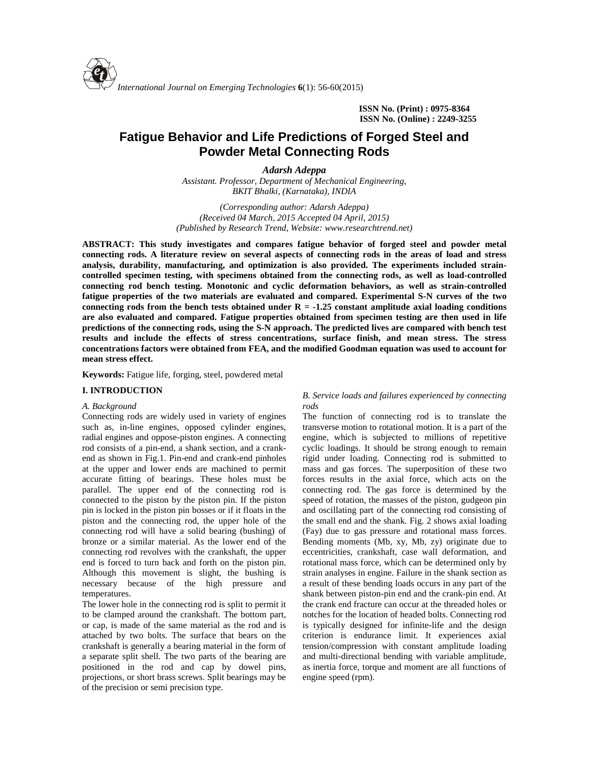**ISSN No. (Print) : 0975-8364 ISSN No. (Online) : 2249-3255**

# **Fatigue Behavior and Life Predictions of Forged Steel and Powder Metal Connecting Rods**

*Adarsh Adeppa Assistant. Professor, Department of Mechanical Engineering, BKIT Bhalki, (Karnataka), INDIA*

*(Corresponding author: Adarsh Adeppa) (Received 04 March, 2015 Accepted 04 April, 2015) (Published by Research Trend, Website: <www.researchtrend.net>)*

**ABSTRACT: This study investigates and compares fatigue behavior of forged steel and powder metal connecting rods. A literature review on several aspects of connecting rods in the areas of load and stress analysis, durability, manufacturing, and optimization is also provided. The experiments included strain controlled specimen testing, with specimens obtained from the connecting rods, as well as load-controlled connecting rod bench testing. Monotonic and cyclic deformation behaviors, as well as strain-controlled fatigue properties of the two materials are evaluated and compared. Experimental S-N curves of the two connecting rods from the bench tests obtained under R = -1.25 constant amplitude axial loading conditions are also evaluated and compared. Fatigue properties obtained from specimen testing are then used in life predictions of the connecting rods, using the S-N approach. The predicted lives are compared with bench test results and include the effects of stress concentrations, surface finish, and mean stress. The stress concentrations factors were obtained from FEA, and the modified Goodman equation was used to account for mean stress effect.**

**Keywords:** Fatigue life, forging, steel, powdered metal

#### **I. INTRODUCTION**

#### *A. Background*

Connecting rods are widely used in variety of engines such as, in-line engines, opposed cylinder engines, radial engines and oppose-piston engines. A connecting rod consists of a pin-end, a shank section, and a crank end as shown in Fig.1. Pin-end and crank-end pinholes at the upper and lower ends are machined to permit accurate fitting of bearings. These holes must be parallel. The upper end of the connecting rod is connected to the piston by the piston pin. If the piston pin is locked in the piston pin bosses or if it floats in the piston and the connecting rod, the upper hole of the connecting rod will have a solid bearing (bushing) of bronze or a similar material. As the lower end of the connecting rod revolves with the crankshaft, the upper end is forced to turn back and forth on the piston pin. Although this movement is slight, the bushing is necessary because of the high pressure and temperatures.

The lower hole in the connecting rod is split to permit it to be clamped around the crankshaft. The bottom part, or cap, is made of the same material as the rod and is attached by two bolts. The surface that bears on the crankshaft is generally a bearing material in the form of a separate split shell. The two parts of the bearing are positioned in the rod and cap by dowel pins, projections, or short brass screws. Split bearings may be of the precision or semi precision type.

## *B. Service loads and failures experienced by connecting rods*

The function of connecting rod is to translate the transverse motion to rotational motion. It is a part of the engine, which is subjected to millions of repetitive cyclic loadings. It should be strong enough to remain rigid under loading. Connecting rod is submitted to mass and gas forces. The superposition of these two forces results in the axial force, which acts on the connecting rod. The gas force is determined by the speed of rotation, the masses of the piston, gudgeon pin and oscillating part of the connecting rod consisting of the small end and the shank. Fig. 2 shows axial loading (Fay) due to gas pressure and rotational mass forces. Bending moments (Mb, xy, Mb, zy) originate due to eccentricities, crankshaft, case wall deformation, and rotational mass force, which can be determined only by strain analyses in engine. Failure in the shank section as a result of these bending loads occurs in any part of the shank between piston-pin end and the crank-pin end. At the crank end fracture can occur at the threaded holes or notches for the location of headed bolts. Connecting rod is typically designed for infinite-life and the design criterion is endurance limit. It experiences axial tension/compression with constant amplitude loading and multi-directional bending with variable amplitude, as inertia force, torque and moment are all functions of engine speed (rpm).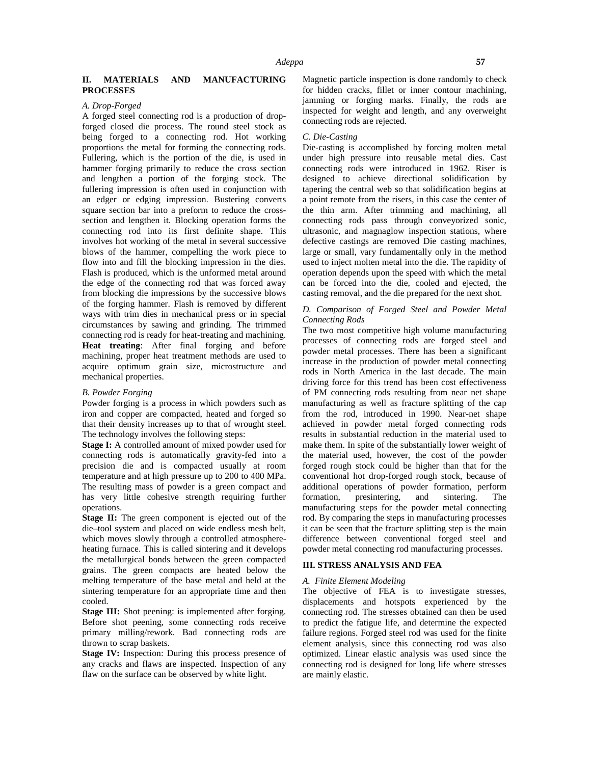# **II. MATERIALS AND MANUFACTURING PROCESSES**

#### *A. Drop-Forged*

A forged steel connecting rod is a production of dropforged closed die process. The round steel stock as being forged to a connecting rod. Hot working proportions the metal for forming the connecting rods. Fullering, which is the portion of the die, is used in hammer forging primarily to reduce the cross section and lengthen a portion of the forging stock. The fullering impression is often used in conjunction with an edger or edging impression. Bustering converts square section bar into a preform to reduce the cross section and lengthen it. Blocking operation forms the connecting rod into its first definite shape. This involves hot working of the metal in several successive blows of the hammer, compelling the work piece to flow into and fill the blocking impression in the dies. Flash is produced, which is the unformed metal around the edge of the connecting rod that was forced away from blocking die impressions by the successive blows of the forging hammer. Flash is removed by different ways with trim dies in mechanical press or in special circumstances by sawing and grinding. The trimmed connecting rod is ready for heat-treating and machining. **Heat treating**: After final forging and before machining, proper heat treatment methods are used to acquire optimum grain size, microstructure and mechanical properties.

## *B. Powder Forging*

Powder forging is a process in which powders such as iron and copper are compacted, heated and forged so that their density increases up to that of wrought steel. The technology involves the following steps:

**Stage I:** A controlled amount of mixed powder used for connecting rods is automatically gravity-fed into a precision die and is compacted usually at room temperature and at high pressure up to 200 to 400 MPa. The resulting mass of powder is a green compact and has very little cohesive strength requiring further formation, operations.

**Stage II:** The green component is ejected out of the die*–*tool system and placed on wide endless mesh belt, which moves slowly through a controlled atmosphere heating furnace. This is called sintering and it develops the metallurgical bonds between the green compacted grains. The green compacts are heated below the melting temperature of the base metal and held at the sintering temperature for an appropriate time and then cooled.

**Stage III:** Shot peening: is implemented after forging. Before shot peening, some connecting rods receive primary milling/rework. Bad connecting rods are thrown to scrap baskets.

**Stage IV:** Inspection: During this process presence of any cracks and flaws are inspected. Inspection of any flaw on the surface can be observed by white light.

Magnetic particle inspection is done randomly to check for hidden cracks, fillet or inner contour machining, jamming or forging marks. Finally, the rods are inspected for weight and length, and any overweight connecting rods are rejected.

#### *C. Die-Casting*

Die-casting is accomplished by forcing molten metal under high pressure into reusable metal dies. Cast connecting rods were introduced in 1962. Riser is designed to achieve directional solidification by tapering the central web so that solidification begins at a point remote from the risers, in this case the center of the thin arm. After trimming and machining, all connecting rods pass through conveyorized sonic, ultrasonic, and magnaglow inspection stations, where defective castings are removed Die casting machines, large or small, vary fundamentally only in the method used to inject molten metal into the die. The rapidity of operation depends upon the speed with which the metal can be forced into the die, cooled and ejected, the casting removal, and the die prepared for the next shot.

#### *D. Comparison of Forged Steel and Powder Metal Connecting Rods*

The two most competitive high volume manufacturing processes of connecting rods are forged steel and powder metal processes. There has been a significant increase in the production of powder metal connecting rods in North America in the last decade. The main driving force for this trend has been cost effectiveness of PM connecting rods resulting from near net shape manufacturing as well as fracture splitting of the cap from the rod, introduced in 1990. Near-net shape achieved in powder metal forged connecting rods results in substantial reduction in the material used to make them. In spite of the substantially lower weight of the material used, however, the cost of the powder forged rough stock could be higher than that for the conventional hot drop-forged rough stock, because of additional operations of powder formation, perform presintering, and sintering. The manufacturing steps for the powder metal connecting rod. By comparing the steps in manufacturing processes it can be seen that the fracture splitting step is the main difference between conventional forged steel and powder metal connecting rod manufacturing processes.

## **III. STRESS ANALYSIS AND FEA**

#### *A. Finite Element Modeling*

The objective of FEA is to investigate stresses, displacements and hotspots experienced by the connecting rod. The stresses obtained can then be used to predict the fatigue life, and determine the expected failure regions. Forged steel rod was used for the finite element analysis, since this connecting rod was also optimized. Linear elastic analysis was used since the connecting rod is designed for long life where stresses are mainly elastic.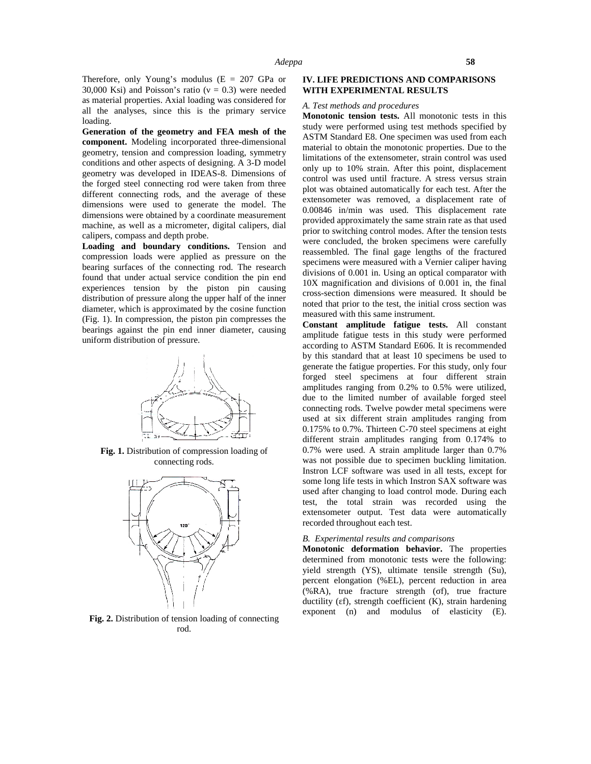Therefore, only Young's modulus ( $E = 207$  GPa or 30,000 Ksi) and Poisson's ratio ( $= 0.3$ ) were needed as material properties. Axial loading was considered for all the analyses, since this is the primary service loading.

**Generation of the geometry and FEA mesh of the component.** Modeling incorporated three-dimensional geometry, tension and compression loading, symmetry conditions and other aspects of designing. A 3-D model geometry was developed in IDEAS-8. Dimensions of the forged steel connecting rod were taken from three different connecting rods, and the average of these dimensions were used to generate the model. The dimensions were obtained by a coordinate measurement machine, as well as a micrometer, digital calipers, dial calipers, compass and depth probe.

**Loading and boundary conditions.** Tension and compression loads were applied as pressure on the bearing surfaces of the connecting rod. The research found that under actual service condition the pin end experiences tension by the piston pin causing distribution of pressure along the upper half of the inner diameter, which is approximated by the cosine function (Fig. 1). In compression, the piston pin compresses the bearings against the pin end inner diameter, causing uniform distribution of pressure.



**Fig. 1.** Distribution of compression loading of connecting rods.



**Fig. 2.** Distribution of tension loading of connecting rod.

## **IV. LIFE PREDICTIONS AND COMPARISONS WITH EXPERIMENTAL RESULTS**

#### *A. Test methods and procedures*

**Monotonic tension tests.** All monotonic tests in this study were performed using test methods specified by ASTM Standard E8. One specimen was used from each material to obtain the monotonic properties. Due to the limitations of the extensometer, strain control was used only up to 10% strain. After this point, displacement control was used until fracture. A stress versus strain plot was obtained automatically for each test. After the extensometer was removed, a displacement rate of 0.00846 in/min was used. This displacement rate provided approximately the same strain rate as that used prior to switching control modes. After the tension tests were concluded, the broken specimens were carefully reassembled. The final gage lengths of the fractured specimens were measured with a Vernier caliper having divisions of 0.001 in. Using an optical comparator with 10X magnification and divisions of 0.001 in, the final cross-section dimensions were measured. It should be noted that prior to the test, the initial cross section was measured with this same instrument.

**Constant amplitude fatigue tests.** All constant amplitude fatigue tests in this study were performed according to ASTM Standard E606. It is recommended by this standard that at least 10 specimens be used to generate the fatigue properties. For this study, only four forged steel specimens at four different strain amplitudes ranging from 0.2% to 0.5% were utilized, due to the limited number of available forged steel connecting rods. Twelve powder metal specimens were used at six different strain amplitudes ranging from 0.175% to 0.7%. Thirteen C-70 steel specimens at eight different strain amplitudes ranging from 0.174% to 0.7% were used. A strain amplitude larger than 0.7% was not possible due to specimen buckling limitation. Instron LCF software was used in all tests, except for some long life tests in which Instron SAX software was used after changing to load control mode. During each test, the total strain was recorded using the extensometer output. Test data were automatically recorded throughout each test.

#### *B. Experimental results and comparisons*

**Monotonic deformation behavior.** The properties determined from monotonic tests were the following: yield strength (YS), ultimate tensile strength (Su), percent elongation (%EL), percent reduction in area (%RA), true fracture strength ( f), true fracture ductility ( f), strength coefficient (K), strain hardening exponent (n) and modulus of elasticity (E).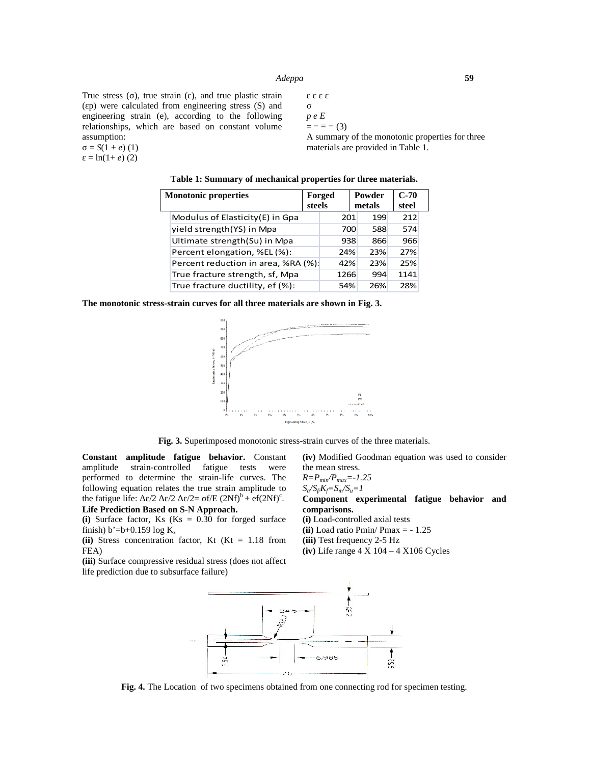# *Adeppa* **59**

True stress ( ), true strain ( ), and true plastic strain ( p) were calculated from engineering stress (S) and engineering strain (e), according to the following relationships, which are based on constant volume assumption:

$$
= S(1 + e) (1)
$$

 $=$  ln(1+ *e*) (2)

*p e E*  $=- = - (3)$ 

A summary of the monotonic properties for three materials are provided in Table 1.

|  |  | Table 1: Summary of mechanical properties for three materials. |  |
|--|--|----------------------------------------------------------------|--|
|--|--|----------------------------------------------------------------|--|

| <b>Monotonic properties</b> |                                     |  | Forged |      | Powder |     |  | $C-70$ |  |
|-----------------------------|-------------------------------------|--|--------|------|--------|-----|--|--------|--|
|                             |                                     |  | steels |      | metals |     |  | steel  |  |
|                             | Modulus of Elasticity(E) in Gpa     |  |        | 201  |        | 199 |  | 212    |  |
|                             | yield strength(YS) in Mpa           |  |        | 700  |        | 588 |  | 574    |  |
|                             | Ultimate strength(Su) in Mpa        |  |        | 938  |        | 866 |  | 966    |  |
|                             | Percent elongation, %EL(%):         |  | 24%    |      |        | 23% |  | 27%    |  |
|                             | Percent reduction in area, %RA (%): |  |        | 42%  |        | 23% |  | 25%    |  |
|                             | True fracture strength, sf, Mpa     |  |        | 1266 |        | 994 |  | 1141   |  |
|                             | True fracture ductility, ef (%):    |  |        | 54%  |        | 26% |  | 28%    |  |

**The monotonic stress-strain curves for all three materials are shown in Fig. 3.**



**Fig. 3.** Superimposed monotonic stress-strain curves of the three materials.

**Constant amplitude fatigue behavior.** Constant amplitude strain-controlled fatigue tests were performed to determine the strain-life curves. The following equation relates the true strain amplitude to the fatigue life:  $\angle/2$   $\angle/2$   $\angle/2$   $\angle$  f/E (2Nf)<sup>b</sup> + ef(2Nf)<sup>c</sup>. **Life Prediction Based on S-N Approach.**

**(i)** Surface factor, Ks (Ks = 0.30 for forged surface finish) b'=b+0.159 log  $K_s$ 

**(ii)** Stress concentration factor, Kt (Kt = 1.18 from FEA)

**(iii)** Surface compressive residual stress (does not affect life prediction due to subsurface failure)

**(iv)** Modified Goodman equation was used to consider the mean stress.

*R=Pmin/Pmax=-1.25*

*Sa/Sf/Kf=Sm/Su=1*

**Component experimental fatigue behavior and comparisons.**

**(i)** Load-controlled axial tests **(ii)** Load ratio Pmin/ Pmax = - 1.25 **(iii)** Test frequency 2-5 Hz

**(iv)** Life range 4 X 104 – 4 X106 Cycles



**Fig. 4.** The Location of two specimens obtained from one connecting rod for specimen testing.